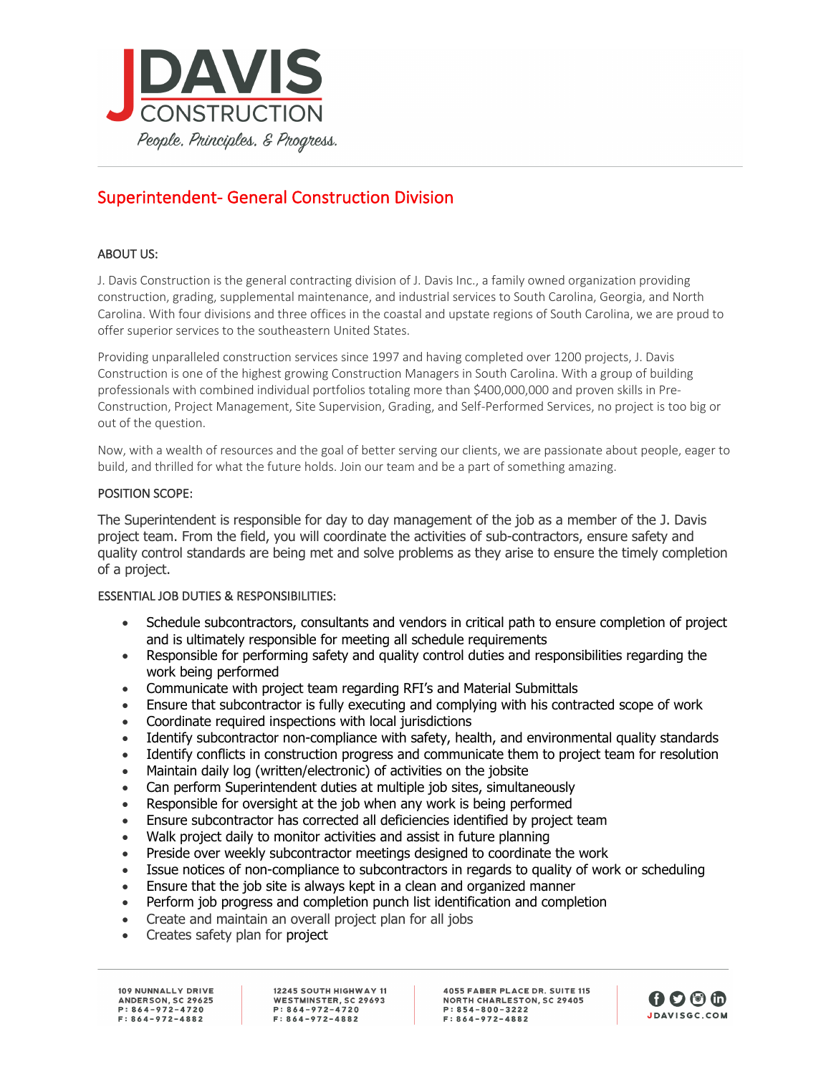

# Superintendent- General Construction Division

# ABOUT US:

J. Davis Construction is the general contracting division of J. Davis Inc., a family owned organization providing construction, grading, supplemental maintenance, and industrial services to South Carolina, Georgia, and North Carolina. With four divisions and three offices in the coastal and upstate regions of South Carolina, we are proud to offer superior services to the southeastern United States.

Providing unparalleled construction services since 1997 and having completed over 1200 projects, J. Davis Construction is one of the highest growing Construction Managers in South Carolina. With a group of building professionals with combined individual portfolios totaling more than \$400,000,000 and proven skills in Pre-Construction, Project Management, Site Supervision, Grading, and Self-Performed Services, no project is too big or out of the question.

Now, with a wealth of resources and the goal of better serving our clients, we are passionate about people, eager to build, and thrilled for what the future holds. Join our team and be a part of something amazing.

#### POSITION SCOPE:

The Superintendent is responsible for day to day management of the job as a member of the J. Davis project team. From the field, you will coordinate the activities of sub-contractors, ensure safety and quality control standards are being met and solve problems as they arise to ensure the timely completion of a project.

#### ESSENTIAL JOB DUTIES & RESPONSIBILITIES:

- Schedule subcontractors, consultants and vendors in critical path to ensure completion of project and is ultimately responsible for meeting all schedule requirements
- Responsible for performing safety and quality control duties and responsibilities regarding the work being performed
- Communicate with project team regarding RFI's and Material Submittals
- Ensure that subcontractor is fully executing and complying with his contracted scope of work
- Coordinate required inspections with local jurisdictions
- Identify subcontractor non-compliance with safety, health, and environmental quality standards
- Identify conflicts in construction progress and communicate them to project team for resolution
- Maintain daily log (written/electronic) of activities on the jobsite
- Can perform Superintendent duties at multiple job sites, simultaneously
- Responsible for oversight at the job when any work is being performed
- Ensure subcontractor has corrected all deficiencies identified by project team
- Walk project daily to monitor activities and assist in future planning
- Preside over weekly subcontractor meetings designed to coordinate the work
- Issue notices of non-compliance to subcontractors in regards to quality of work or scheduling
- Ensure that the job site is always kept in a clean and organized manner
- Perform job progress and completion punch list identification and completion
- Create and maintain an overall project plan for all jobs
- Creates safety plan for project

109 NUNNALLY DRIVE ANDERSON, SC 29625  $P: 864 - 972 - 4720$  $F: 864 - 972 - 4882$ 

12245 SOUTH HIGHWAY 11 WESTMINSTER, SC 29693  $P: 864 - 972 - 4720$  $F: 864 - 972 - 4882$ 

**4055 FABER PLACE DR. SUITE 115 NORTH CHARLESTON, SC 29405**  $P: 854 - 800 - 3222$  $F: 864 - 972 - 4882$